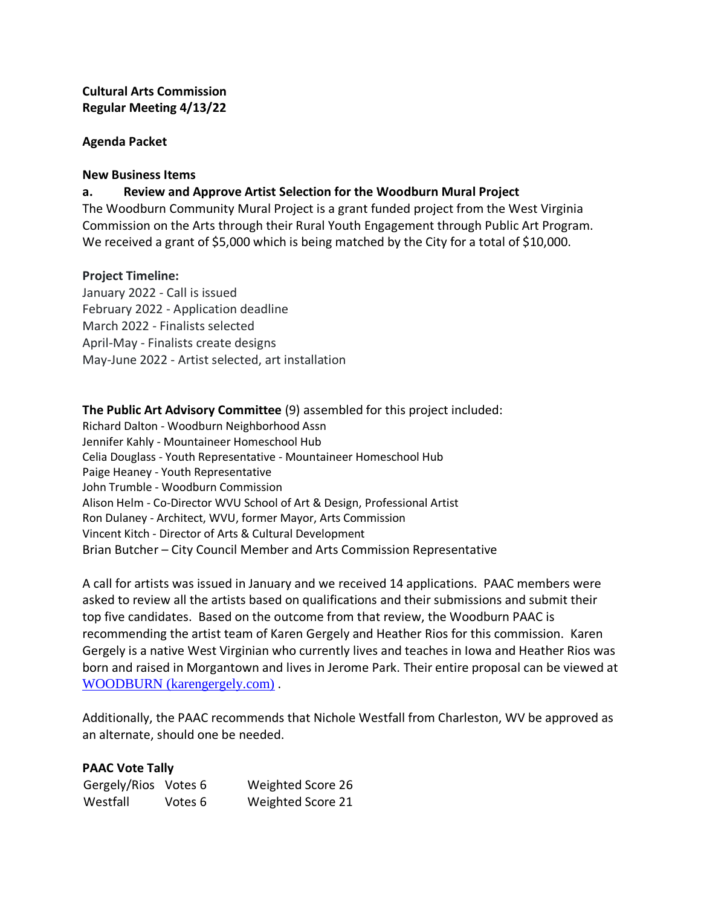# **Cultural Arts Commission Regular Meeting 4/13/22**

## **Agenda Packet**

### **New Business Items**

## **a. Review and Approve Artist Selection for the Woodburn Mural Project**

The Woodburn Community Mural Project is a grant funded project from the West Virginia Commission on the Arts through their Rural Youth Engagement through Public Art Program. We received a grant of \$5,000 which is being matched by the City for a total of \$10,000.

### **Project Timeline:**

January 2022 - Call is issued February 2022 - Application deadline March 2022 - Finalists selected April-May - Finalists create designs May-June 2022 - Artist selected, art installation

## **The Public Art Advisory Committee** (9) assembled for this project included:

Richard Dalton - Woodburn Neighborhood Assn Jennifer Kahly - Mountaineer Homeschool Hub Celia Douglass - Youth Representative - Mountaineer Homeschool Hub Paige Heaney - Youth Representative John Trumble - Woodburn Commission Alison Helm - Co-Director WVU School of Art & Design, Professional Artist Ron Dulaney - Architect, WVU, former Mayor, Arts Commission Vincent Kitch - Director of Arts & Cultural Development Brian Butcher – City Council Member and Arts Commission Representative

A call for artists was issued in January and we received 14 applications. PAAC members were asked to review all the artists based on qualifications and their submissions and submit their top five candidates. Based on the outcome from that review, the Woodburn PAAC is recommending the artist team of Karen Gergely and Heather Rios for this commission. Karen Gergely is a native West Virginian who currently lives and teaches in Iowa and Heather Rios was born and raised in Morgantown and lives in Jerome Park. Their entire proposal can be viewed at [WOODBURN \(karengergely.com\)](https://www.karengergely.com/_files/ugd/ed4e53_7b2d835e31024ec188876cab59e22d50.pdf) .

Additionally, the PAAC recommends that Nichole Westfall from Charleston, WV be approved as an alternate, should one be needed.

### **PAAC Vote Tally**

| Gergely/Rios Votes 6 |         | Weighted Score 26 |
|----------------------|---------|-------------------|
| Westfall             | Votes 6 | Weighted Score 21 |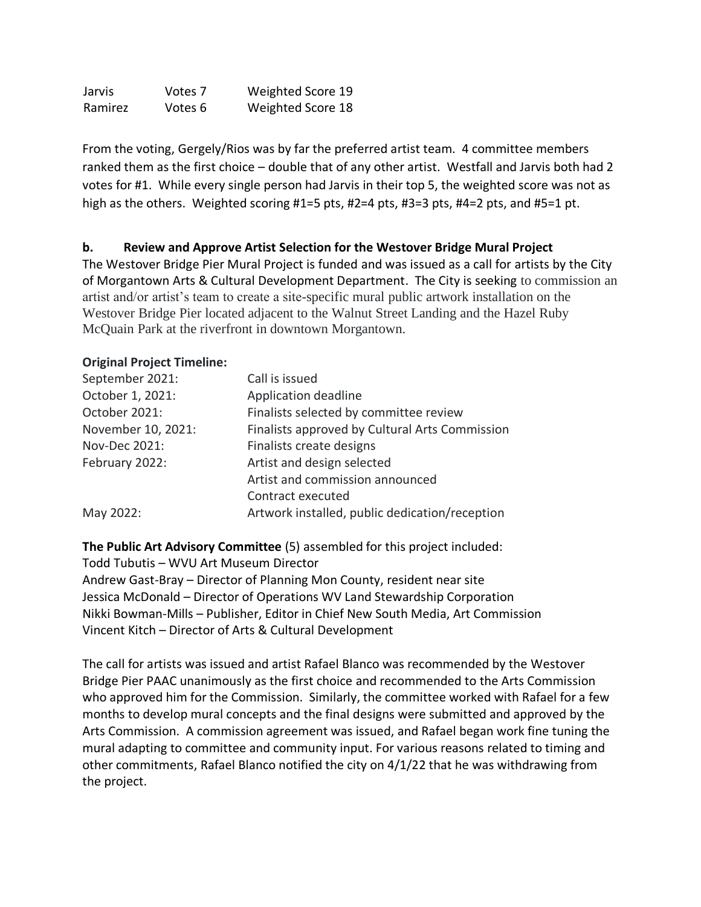Jarvis Votes 7 Weighted Score 19 Ramirez Votes 6 Weighted Score 18

From the voting, Gergely/Rios was by far the preferred artist team. 4 committee members ranked them as the first choice – double that of any other artist. Westfall and Jarvis both had 2 votes for #1. While every single person had Jarvis in their top 5, the weighted score was not as high as the others. Weighted scoring #1=5 pts, #2=4 pts, #3=3 pts, #4=2 pts, and #5=1 pt.

## **b. Review and Approve Artist Selection for the Westover Bridge Mural Project**

The Westover Bridge Pier Mural Project is funded and was issued as a call for artists by the City of Morgantown Arts & Cultural Development Department. The City is seeking to commission an artist and/or artist's team to create a site-specific mural public artwork installation on the Westover Bridge Pier located adjacent to the Walnut Street Landing and the Hazel Ruby McQuain Park at the riverfront in downtown Morgantown.

## **Original Project Timeline:**

| September 2021:    | Call is issued                                 |  |
|--------------------|------------------------------------------------|--|
| October 1, 2021:   | Application deadline                           |  |
| October 2021:      | Finalists selected by committee review         |  |
| November 10, 2021: | Finalists approved by Cultural Arts Commission |  |
| Nov-Dec 2021:      | Finalists create designs                       |  |
| February 2022:     | Artist and design selected                     |  |
|                    | Artist and commission announced                |  |
|                    | Contract executed                              |  |
| May 2022:          | Artwork installed, public dedication/reception |  |

# **The Public Art Advisory Committee** (5) assembled for this project included:

Todd Tubutis – WVU Art Museum Director Andrew Gast-Bray – Director of Planning Mon County, resident near site Jessica McDonald – Director of Operations WV Land Stewardship Corporation Nikki Bowman-Mills – Publisher, Editor in Chief New South Media, Art Commission Vincent Kitch – Director of Arts & Cultural Development

The call for artists was issued and artist Rafael Blanco was recommended by the Westover Bridge Pier PAAC unanimously as the first choice and recommended to the Arts Commission who approved him for the Commission. Similarly, the committee worked with Rafael for a few months to develop mural concepts and the final designs were submitted and approved by the Arts Commission. A commission agreement was issued, and Rafael began work fine tuning the mural adapting to committee and community input. For various reasons related to timing and other commitments, Rafael Blanco notified the city on 4/1/22 that he was withdrawing from the project.